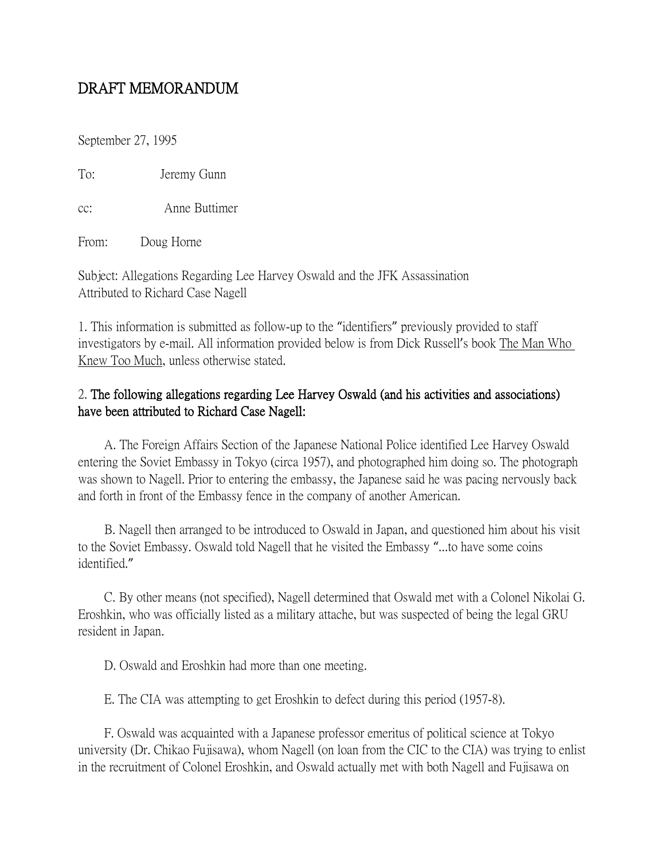## DRAFT MEMORANDUM

September 27, 1995

To: Jeremy Gunn

cc: Anne Buttimer

From: Doug Horne

Subject: Allegations Regarding Lee Harvey Oswald and the JFK Assassination Attributed to Richard Case Nagell

1. This information is submitted as follow-up to the "identifiers" previously provided to staff investigators by e-mail. All information provided below is from Dick Russell's book The Man Who Knew Too Much, unless otherwise stated.

## 2. The following allegations regarding Lee Harvey Oswald (and his activities and associations) have been attributed to Richard Case Nagell:

 A. The Foreign Affairs Section of the Japanese National Police identified Lee Harvey Oswald entering the Soviet Embassy in Tokyo (circa 1957), and photographed him doing so. The photograph was shown to Nagell. Prior to entering the embassy, the Japanese said he was pacing nervously back and forth in front of the Embassy fence in the company of another American.

 B. Nagell then arranged to be introduced to Oswald in Japan, and questioned him about his visit to the Soviet Embassy. Oswald told Nagell that he visited the Embassy "...to have some coins identified."

 C. By other means (not specified), Nagell determined that Oswald met with a Colonel Nikolai G. Eroshkin, who was officially listed as a military attache, but was suspected of being the legal GRU resident in Japan.

D. Oswald and Eroshkin had more than one meeting.

E. The CIA was attempting to get Eroshkin to defect during this period (1957-8).

 F. Oswald was acquainted with a Japanese professor emeritus of political science at Tokyo university (Dr. Chikao Fujisawa), whom Nagell (on loan from the CIC to the CIA) was trying to enlist in the recruitment of Colonel Eroshkin, and Oswald actually met with both Nagell and Fujisawa on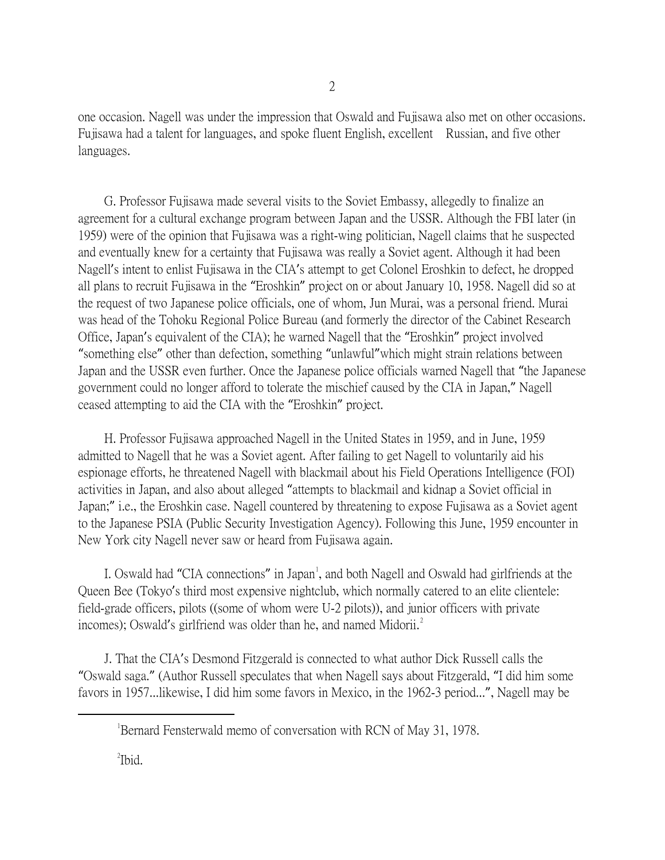one occasion. Nagell was under the impression that Oswald and Fujisawa also met on other occasions. Fujisawa had a talent for languages, and spoke fluent English, excellent Russian, and five other languages.

 G. Professor Fujisawa made several visits to the Soviet Embassy, allegedly to finalize an agreement for a cultural exchange program between Japan and the USSR. Although the FBI later (in 1959) were of the opinion that Fujisawa was a right-wing politician, Nagell claims that he suspected and eventually knew for a certainty that Fujisawa was really a Soviet agent. Although it had been Nagell's intent to enlist Fujisawa in the CIA's attempt to get Colonel Eroshkin to defect, he dropped all plans to recruit Fujisawa in the "Eroshkin" project on or about January 10, 1958. Nagell did so at the request of two Japanese police officials, one of whom, Jun Murai, was a personal friend. Murai was head of the Tohoku Regional Police Bureau (and formerly the director of the Cabinet Research Office, Japan's equivalent of the CIA); he warned Nagell that the "Eroshkin" project involved "something else" other than defection, something "unlawful"which might strain relations between Japan and the USSR even further. Once the Japanese police officials warned Nagell that "the Japanese government could no longer afford to tolerate the mischief caused by the CIA in Japan," Nagell ceased attempting to aid the CIA with the "Eroshkin" project.

 H. Professor Fujisawa approached Nagell in the United States in 1959, and in June, 1959 admitted to Nagell that he was a Soviet agent. After failing to get Nagell to voluntarily aid his espionage efforts, he threatened Nagell with blackmail about his Field Operations Intelligence (FOI) activities in Japan, and also about alleged "attempts to blackmail and kidnap a Soviet official in Japan;" i.e., the Eroshkin case. Nagell countered by threatening to expose Fujisawa as a Soviet agent to the Japanese PSIA (Public Security Investigation Agency). Following this June, 1959 encounter in New York city Nagell never saw or heard from Fujisawa again.

I. Oswald had "CIA connections" in Japan<sup>[1](#page-1-0)</sup>, and both Nagell and Oswald had girlfriends at the Queen Bee (Tokyo's third most expensive nightclub, which normally catered to an elite clientele: field-grade officers, pilots ((some of whom were U-2 pilots)), and junior officers with private incomes); Oswald's girlfriend was older than he, and named Midorii.<sup>[2](#page-1-1)</sup>

 J. That the CIA's Desmond Fitzgerald is connected to what author Dick Russell calls the "Oswald saga." (Author Russell speculates that when Nagell says about Fitzgerald, "I did him some favors in 1957...likewise, I did him some favors in Mexico, in the 1962-3 period...", Nagell may be

<sup>2</sup>Ibid.

<span id="page-1-1"></span><span id="page-1-0"></span> $\overline{\phantom{a}}$ Bernard Fensterwald memo of conversation with RCN of May 31, 1978.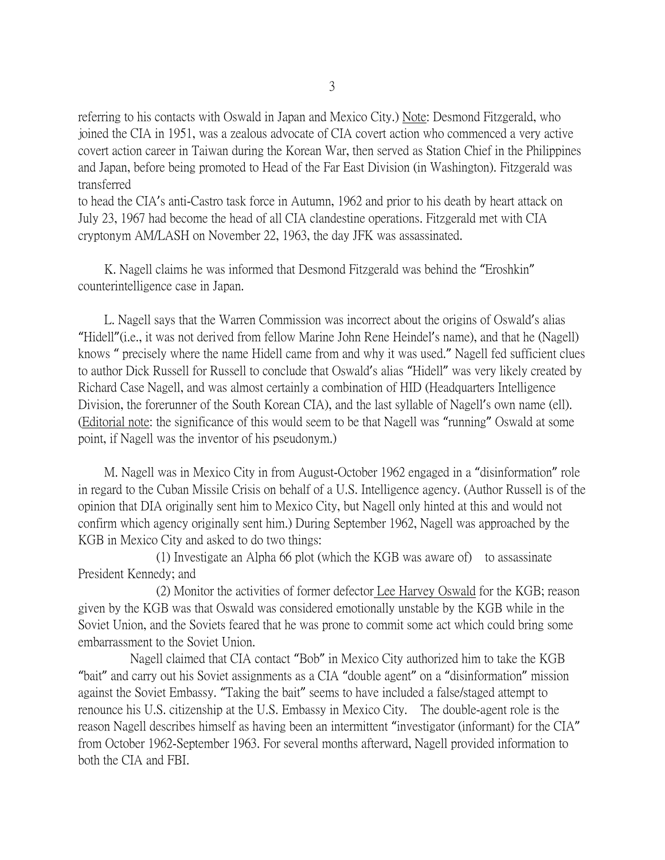referring to his contacts with Oswald in Japan and Mexico City.) Note: Desmond Fitzgerald, who joined the CIA in 1951, was a zealous advocate of CIA covert action who commenced a very active covert action career in Taiwan during the Korean War, then served as Station Chief in the Philippines and Japan, before being promoted to Head of the Far East Division (in Washington). Fitzgerald was transferred

to head the CIA's anti-Castro task force in Autumn, 1962 and prior to his death by heart attack on July 23, 1967 had become the head of all CIA clandestine operations. Fitzgerald met with CIA cryptonym AM/LASH on November 22, 1963, the day JFK was assassinated.

 K. Nagell claims he was informed that Desmond Fitzgerald was behind the "Eroshkin" counterintelligence case in Japan.

 L. Nagell says that the Warren Commission was incorrect about the origins of Oswald's alias "Hidell"(i.e., it was not derived from fellow Marine John Rene Heindel's name), and that he (Nagell) knows " precisely where the name Hidell came from and why it was used." Nagell fed sufficient clues to author Dick Russell for Russell to conclude that Oswald's alias "Hidell" was very likely created by Richard Case Nagell, and was almost certainly a combination of HID (Headquarters Intelligence Division, the forerunner of the South Korean CIA), and the last syllable of Nagell's own name (ell). (Editorial note: the significance of this would seem to be that Nagell was "running" Oswald at some point, if Nagell was the inventor of his pseudonym.)

 M. Nagell was in Mexico City in from August-October 1962 engaged in a "disinformation" role in regard to the Cuban Missile Crisis on behalf of a U.S. Intelligence agency. (Author Russell is of the opinion that DIA originally sent him to Mexico City, but Nagell only hinted at this and would not confirm which agency originally sent him.) During September 1962, Nagell was approached by the KGB in Mexico City and asked to do two things:

 (1) Investigate an Alpha 66 plot (which the KGB was aware of) to assassinate President Kennedy; and

 (2) Monitor the activities of former defector Lee Harvey Oswald for the KGB; reason given by the KGB was that Oswald was considered emotionally unstable by the KGB while in the Soviet Union, and the Soviets feared that he was prone to commit some act which could bring some embarrassment to the Soviet Union.

 Nagell claimed that CIA contact "Bob" in Mexico City authorized him to take the KGB "bait" and carry out his Soviet assignments as a CIA "double agent" on a "disinformation" mission against the Soviet Embassy. "Taking the bait" seems to have included a false/staged attempt to renounce his U.S. citizenship at the U.S. Embassy in Mexico City. The double-agent role is the reason Nagell describes himself as having been an intermittent "investigator (informant) for the CIA" from October 1962-September 1963. For several months afterward, Nagell provided information to both the CIA and FBI.